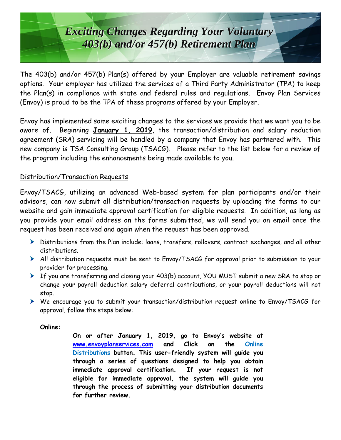## *Exciting Changes Regarding Your Voluntary Exciting Changes Regarding Your Voluntary 403(b) and/or 457(b) Retirement Plan 403(b) and/or 457(b) Retirement Plan*

The 403(b) and/or 457(b) Plan(s) offered by your Employer are valuable retirement savings options. Your employer has utilized the services of a Third Party Administrator (TPA) to keep the Plan(s) in compliance with state and federal rules and regulations. Envoy Plan Services (Envoy) is proud to be the TPA of these programs offered by your Employer.

Envoy has implemented some exciting changes to the services we provide that we want you to be aware of. Beginning **January 1, 2019**, the transaction/distribution and salary reduction agreement (SRA) servicing will be handled by a company that Envoy has partnered with. This new company is TSA Consulting Group (TSACG). Please refer to the list below for a review of the program including the enhancements being made available to you.

## Distribution/Transaction Requests

Envoy/TSACG, utilizing an advanced Web-based system for plan participants and/or their advisors, can now submit all distribution/transaction requests by uploading the forms to our website and gain immediate approval certification for eligible requests. In addition, as long as you provide your email address on the forms submitted, we will send you an email once the request has been received and again when the request has been approved.

- Distributions from the Plan include: loans, transfers, rollovers, contract exchanges, and all other distributions.
- All distribution requests must be sent to Envoy/TSACG for approval prior to submission to your provider for processing.
- If you are transferring and closing your 403(b) account, YOU MUST submit a new SRA to stop or change your payroll deduction salary deferral contributions, or your payroll deductions will not stop.
- We encourage you to submit your transaction/distribution request online to Envoy/TSACG for approval, follow the steps below:

## **Online:**

**On or after January 1, 2019, go to Envoy's website at [www.envoyplanservices.com](http://www.envoyplanservices.com/) and Click on the Online Distributions button. This user-friendly system will guide you through a series of questions designed to help you obtain immediate approval certification. If your request is not eligible for immediate approval, the system will guide you through the process of submitting your distribution documents for further review.**